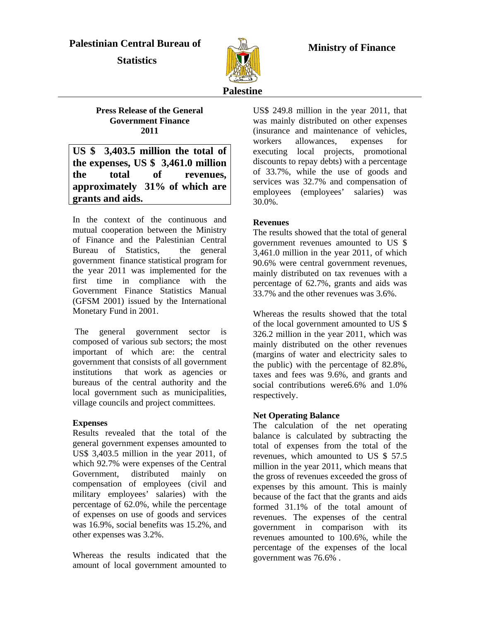## **Palestinian Central Bureau of**

 **Statistics** 



 **Ministry of Finance**

# **Palestine**

**Press Release of the General Government Finance 2011**

**US \$ 3,403.5 million the total of the expenses, US \$ 3,461.0 million the total of revenues, approximately 31% of which are grants and aids.**

In the context of the continuous and mutual cooperation between the Ministry of Finance and the Palestinian Central Bureau of Statistics, the general government finance statistical program for the year 2011 was implemented for the first time in compliance with the Government Finance Statistics Manual (GFSM 2001) issued by the International Monetary Fund in 2001.

 The general government sector is composed of various sub sectors; the most important of which are: the central government that consists of all government institutions that work as agencies or bureaus of the central authority and the local government such as municipalities, village councils and project committees.

#### **Expenses**

Results revealed that the total of the general government expenses amounted to US\$ 3,403.5 million in the year 2011, of which 92.7% were expenses of the Central Government, distributed mainly on compensation of employees (civil and military employees' salaries) with the percentage of 62.0%, while the percentage of expenses on use of goods and services was 16.9%, social benefits was 15.2%, and other expenses was 3.2%.

Whereas the results indicated that the amount of local government amounted to US\$ 249.8 million in the year 2011, that was mainly distributed on other expenses (insurance and maintenance of vehicles, workers allowances, expenses for executing local projects, promotional discounts to repay debts) with a percentage of 33.7%, while the use of goods and services was 32.7% and compensation of employees (employees' salaries) was 30.0%.

#### **Revenues**

The results showed that the total of general government revenues amounted to US \$ 3,461.0 million in the year 2011, of which 90.6% were central government revenues, mainly distributed on tax revenues with a percentage of 62.7%, grants and aids was 33.7% and the other revenues was 3.6%.

Whereas the results showed that the total of the local government amounted to US \$ 326.2 million in the year 2011, which was mainly distributed on the other revenues (margins of water and electricity sales to the public) with the percentage of 82.8%, taxes and fees was 9.6%, and grants and social contributions were6.6% and 1.0% respectively.

#### **Net Operating Balance**

The calculation of the net operating balance is calculated by subtracting the total of expenses from the total of the revenues, which amounted to US \$ 57.5 million in the year 2011, which means that the gross of revenues exceeded the gross of expenses by this amount. This is mainly because of the fact that the grants and aids formed 31.1% of the total amount of revenues. The expenses of the central government in comparison with its revenues amounted to 100.6%, while the percentage of the expenses of the local government was 76.6% .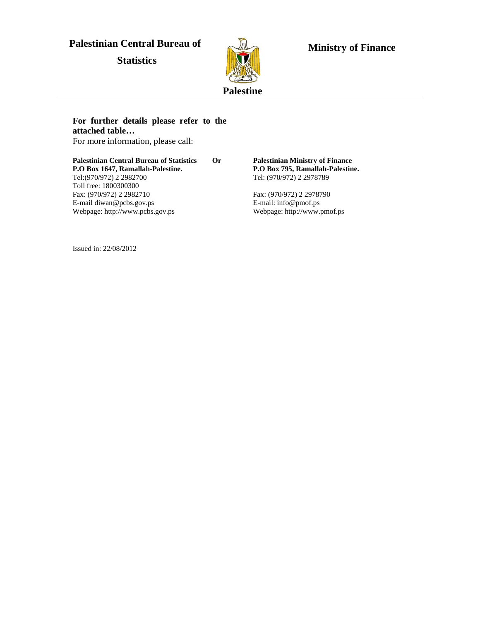# **Palestinian Central Bureau of**

 **Statistics** 



 **Ministry of Finance**

#### **For further details please refer to the attached table…**

For more information, please call:

**Palestinian Central Bureau of Statistics Or P.O Box 1647, Ramallah-Palestine.**  Tel:(970/972) 2 2982700 Toll free: 1800300300 Fax: (970/972) 2 2982710 E-mail diwan@pcbs.gov.ps Webpage: http://www.pcbs.gov.ps

**Palestinian Ministry of Finance P.O Box 795, Ramallah-Palestine.**  Tel: (970/972) 2 2978789

Fax: (970/972) 2 2978790 E-mail: info@pmof.ps Webpage: http://www.pmof.ps

Issued in: 22/08/2012